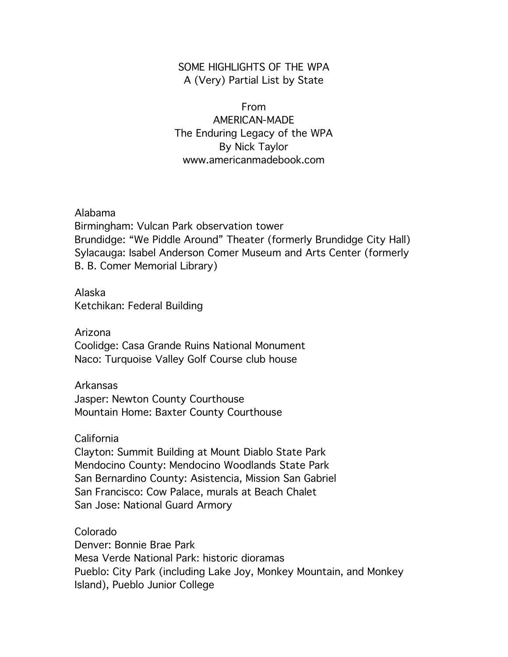## SOME HIGHLIGHTS OF THE WPA A (Very) Partial List by State

From AMERICAN-MADE The Enduring Legacy of the WPA By Nick Taylor www.americanmadebook.com

Alabama

Birmingham: Vulcan Park observation tower Brundidge: "We Piddle Around" Theater (formerly Brundidge City Hall) Sylacauga: Isabel Anderson Comer Museum and Arts Center (formerly B. B. Comer Memorial Library)

Alaska Ketchikan: Federal Building

Arizona Coolidge: Casa Grande Ruins National Monument Naco: Turquoise Valley Golf Course club house

Arkansas Jasper: Newton County Courthouse Mountain Home: Baxter County Courthouse

## California

Clayton: Summit Building at Mount Diablo State Park Mendocino County: Mendocino Woodlands State Park San Bernardino County: Asistencia, Mission San Gabriel San Francisco: Cow Palace, murals at Beach Chalet San Jose: National Guard Armory

Colorado Denver: Bonnie Brae Park Mesa Verde National Park: historic dioramas Pueblo: City Park (including Lake Joy, Monkey Mountain, and Monkey Island), Pueblo Junior College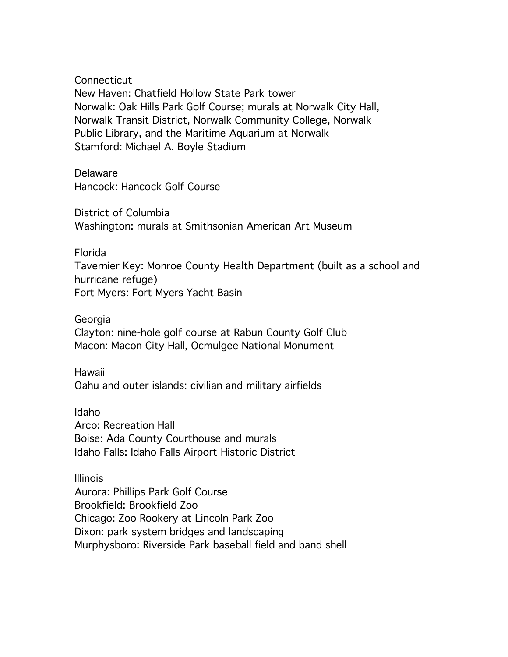**Connecticut** New Haven: Chatfield Hollow State Park tower Norwalk: Oak Hills Park Golf Course; murals at Norwalk City Hall, Norwalk Transit District, Norwalk Community College, Norwalk Public Library, and the Maritime Aquarium at Norwalk Stamford: Michael A. Boyle Stadium

Delaware Hancock: Hancock Golf Course

District of Columbia Washington: murals at Smithsonian American Art Museum

Florida

Tavernier Key: Monroe County Health Department (built as a school and hurricane refuge) Fort Myers: Fort Myers Yacht Basin

Georgia Clayton: nine-hole golf course at Rabun County Golf Club Macon: Macon City Hall, Ocmulgee National Monument

Hawaii Oahu and outer islands: civilian and military airfields

Idaho Arco: Recreation Hall Boise: Ada County Courthouse and murals Idaho Falls: Idaho Falls Airport Historic District

Illinois

Aurora: Phillips Park Golf Course Brookfield: Brookfield Zoo Chicago: Zoo Rookery at Lincoln Park Zoo Dixon: park system bridges and landscaping Murphysboro: Riverside Park baseball field and band shell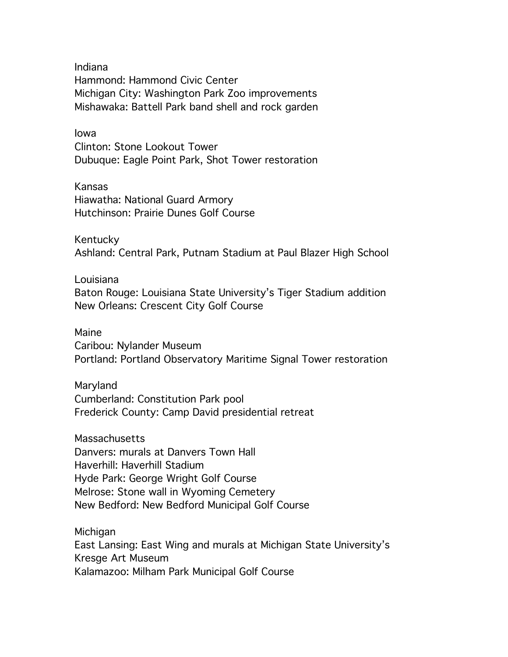Indiana Hammond: Hammond Civic Center Michigan City: Washington Park Zoo improvements Mishawaka: Battell Park band shell and rock garden

Iowa Clinton: Stone Lookout Tower Dubuque: Eagle Point Park, Shot Tower restoration

Kansas Hiawatha: National Guard Armory Hutchinson: Prairie Dunes Golf Course

Kentucky Ashland: Central Park, Putnam Stadium at Paul Blazer High School

Louisiana Baton Rouge: Louisiana State University's Tiger Stadium addition New Orleans: Crescent City Golf Course

Maine Caribou: Nylander Museum Portland: Portland Observatory Maritime Signal Tower restoration

Maryland Cumberland: Constitution Park pool Frederick County: Camp David presidential retreat

Massachusetts Danvers: murals at Danvers Town Hall Haverhill: Haverhill Stadium Hyde Park: George Wright Golf Course Melrose: Stone wall in Wyoming Cemetery New Bedford: New Bedford Municipal Golf Course

**Michigan** East Lansing: East Wing and murals at Michigan State University's Kresge Art Museum Kalamazoo: Milham Park Municipal Golf Course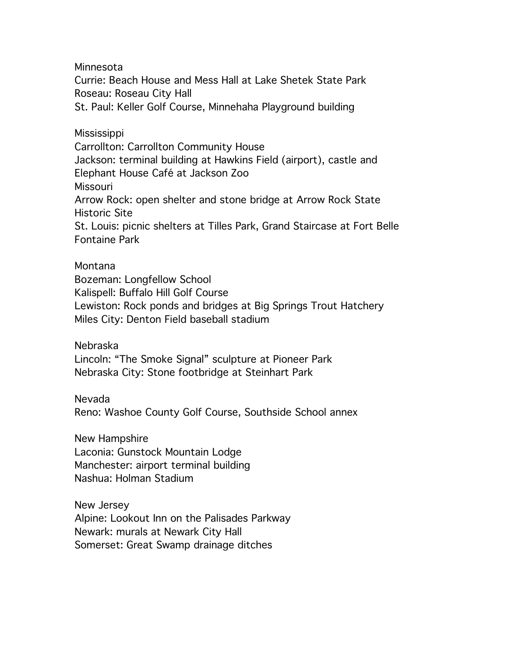Minnesota

Currie: Beach House and Mess Hall at Lake Shetek State Park Roseau: Roseau City Hall

St. Paul: Keller Golf Course, Minnehaha Playground building

**Mississippi** Carrollton: Carrollton Community House Jackson: terminal building at Hawkins Field (airport), castle and Elephant House Café at Jackson Zoo Missouri Arrow Rock: open shelter and stone bridge at Arrow Rock State Historic Site St. Louis: picnic shelters at Tilles Park, Grand Staircase at Fort Belle Fontaine Park

Montana Bozeman: Longfellow School Kalispell: Buffalo Hill Golf Course Lewiston: Rock ponds and bridges at Big Springs Trout Hatchery Miles City: Denton Field baseball stadium

Nebraska Lincoln: "The Smoke Signal" sculpture at Pioneer Park Nebraska City: Stone footbridge at Steinhart Park

Nevada Reno: Washoe County Golf Course, Southside School annex

New Hampshire Laconia: Gunstock Mountain Lodge Manchester: airport terminal building Nashua: Holman Stadium

New Jersey Alpine: Lookout Inn on the Palisades Parkway Newark: murals at Newark City Hall Somerset: Great Swamp drainage ditches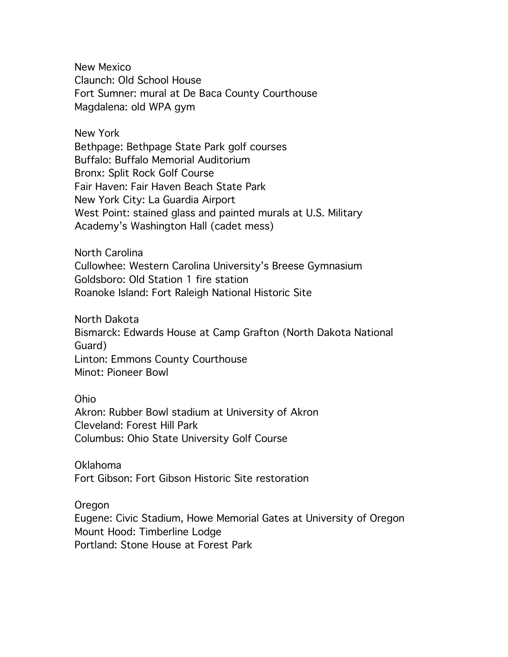New Mexico Claunch: Old School House Fort Sumner: mural at De Baca County Courthouse Magdalena: old WPA gym

New York

Bethpage: Bethpage State Park golf courses Buffalo: Buffalo Memorial Auditorium Bronx: Split Rock Golf Course Fair Haven: Fair Haven Beach State Park New York City: La Guardia Airport West Point: stained glass and painted murals at U.S. Military Academy's Washington Hall (cadet mess)

North Carolina Cullowhee: Western Carolina University's Breese Gymnasium Goldsboro: Old Station 1 fire station Roanoke Island: Fort Raleigh National Historic Site

North Dakota Bismarck: Edwards House at Camp Grafton (North Dakota National Guard) Linton: Emmons County Courthouse Minot: Pioneer Bowl

Ohio Akron: Rubber Bowl stadium at University of Akron Cleveland: Forest Hill Park Columbus: Ohio State University Golf Course

Oklahoma Fort Gibson: Fort Gibson Historic Site restoration

Oregon

Eugene: Civic Stadium, Howe Memorial Gates at University of Oregon Mount Hood: Timberline Lodge Portland: Stone House at Forest Park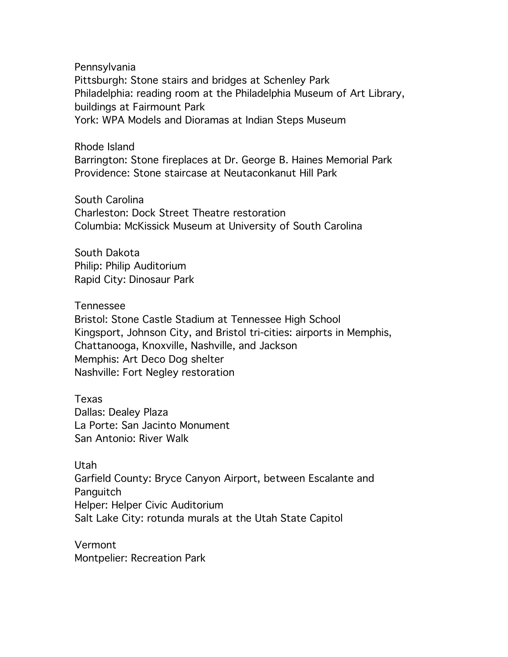Pennsylvania Pittsburgh: Stone stairs and bridges at Schenley Park Philadelphia: reading room at the Philadelphia Museum of Art Library, buildings at Fairmount Park York: WPA Models and Dioramas at Indian Steps Museum

Rhode Island Barrington: Stone fireplaces at Dr. George B. Haines Memorial Park Providence: Stone staircase at Neutaconkanut Hill Park

South Carolina Charleston: Dock Street Theatre restoration Columbia: McKissick Museum at University of South Carolina

South Dakota Philip: Philip Auditorium Rapid City: Dinosaur Park

Tennessee

Bristol: Stone Castle Stadium at Tennessee High School Kingsport, Johnson City, and Bristol tri-cities: airports in Memphis, Chattanooga, Knoxville, Nashville, and Jackson Memphis: Art Deco Dog shelter Nashville: Fort Negley restoration

Texas Dallas: Dealey Plaza La Porte: San Jacinto Monument San Antonio: River Walk

Utah Garfield County: Bryce Canyon Airport, between Escalante and Panguitch Helper: Helper Civic Auditorium Salt Lake City: rotunda murals at the Utah State Capitol

Vermont Montpelier: Recreation Park